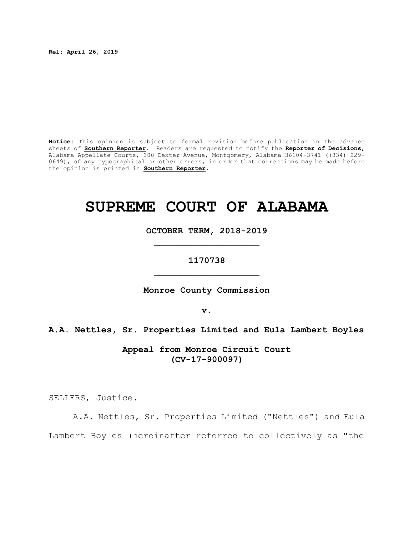**Rel: April 26, 2019**

**Notice:** This opinion is subject to formal revision before publication in the advance sheets of **Southern Reporter**. Readers are requested to notify the **Reporter of Decisions**, Alabama Appellate Courts, 300 Dexter Avenue, Montgomery, Alabama 36104-3741 ((334) 229- 0649), of any typographical or other errors, in order that corrections may be made before the opinion is printed in **Southern Reporter**.

# **SUPREME COURT OF ALABAMA**

**OCTOBER TERM, 2018-2019 \_\_\_\_\_\_\_\_\_\_\_\_\_\_\_\_\_\_\_\_**

**1170738 \_\_\_\_\_\_\_\_\_\_\_\_\_\_\_\_\_\_\_\_**

**Monroe County Commission**

**v.**

**A.A. Nettles, Sr. Properties Limited and Eula Lambert Boyles**

**Appeal from Monroe Circuit Court (CV-17-900097)**

SELLERS, Justice.

A.A. Nettles, Sr. Properties Limited ("Nettles") and Eula Lambert Boyles (hereinafter referred to collectively as "the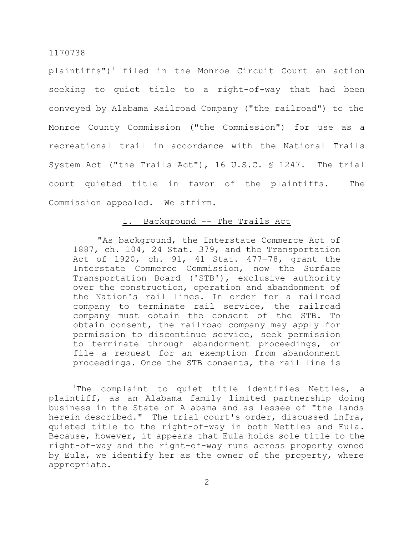plaintiffs")<sup>1</sup> filed in the Monroe Circuit Court an action seeking to quiet title to a right-of-way that had been conveyed by Alabama Railroad Company ("the railroad") to the Monroe County Commission ("the Commission") for use as a recreational trail in accordance with the National Trails System Act ("the Trails Act"), 16 U.S.C. § 1247. The trial court quieted title in favor of the plaintiffs. The Commission appealed. We affirm.

## I. Background -- The Trails Act

"As background, the Interstate Commerce Act of 1887, ch. 104, 24 Stat. 379, and the Transportation Act of 1920, ch. 91, 41 Stat. 477-78, grant the Interstate Commerce Commission, now the Surface Transportation Board ('STB'), exclusive authority over the construction, operation and abandonment of the Nation's rail lines. In order for a railroad company to terminate rail service, the railroad company must obtain the consent of the STB. To obtain consent, the railroad company may apply for permission to discontinue service, seek permission to terminate through abandonment proceedings, or file a request for an exemption from abandonment proceedings. Once the STB consents, the rail line is

<sup>&</sup>lt;sup>1</sup>The complaint to quiet title identifies Nettles, a plaintiff, as an Alabama family limited partnership doing business in the State of Alabama and as lessee of "the lands herein described." The trial court's order, discussed infra, quieted title to the right-of-way in both Nettles and Eula. Because, however, it appears that Eula holds sole title to the right-of-way and the right-of-way runs across property owned by Eula, we identify her as the owner of the property, where appropriate.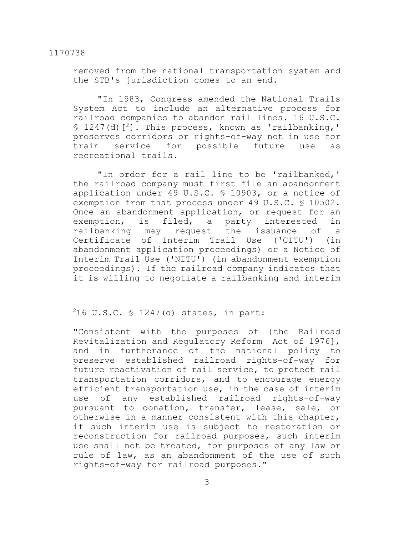removed from the national transportation system and the STB's jurisdiction comes to an end.

"In 1983, Congress amended the National Trails System Act to include an alternative process for railroad companies to abandon rail lines. 16 U.S.C.  $$ 1247(d)$ <sup>2</sup>]. This process, known as 'railbanking,' preserves corridors or rights-of-way not in use for train service for possible future use as recreational trails.

"In order for a rail line to be 'railbanked,' the railroad company must first file an abandonment application under 49 U.S.C. § 10903, or a notice of exemption from that process under 49 U.S.C. § 10502. Once an abandonment application, or request for an exemption, is filed, a party interested in railbanking may request the issuance of a Certificate of Interim Trail Use ('CITU') (in abandonment application proceedings) or a Notice of Interim Trail Use ('NITU') (in abandonment exemption proceedings). If the railroad company indicates that it is willing to negotiate a railbanking and interim

# <sup>2</sup>16 U.S.C. § 1247(d) states, in part:

"Consistent with the purposes of [the Railroad Revitalization and Regulatory Reform Act of 1976], and in furtherance of the national policy to preserve established railroad rights-of-way for future reactivation of rail service, to protect rail transportation corridors, and to encourage energy efficient transportation use, in the case of interim use of any established railroad rights-of-way pursuant to donation, transfer, lease, sale, or otherwise in a manner consistent with this chapter, if such interim use is subject to restoration or reconstruction for railroad purposes, such interim use shall not be treated, for purposes of any law or rule of law, as an abandonment of the use of such rights-of-way for railroad purposes."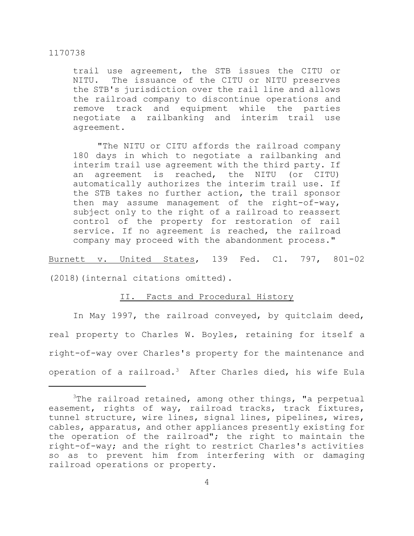trail use agreement, the STB issues the CITU or NITU. The issuance of the CITU or NITU preserves the STB's jurisdiction over the rail line and allows the railroad company to discontinue operations and remove track and equipment while the parties negotiate a railbanking and interim trail use agreement.

"The NITU or CITU affords the railroad company 180 days in which to negotiate a railbanking and interim trail use agreement with the third party. If an agreement is reached, the NITU (or CITU) automatically authorizes the interim trail use. If the STB takes no further action, the trail sponsor then may assume management of the right-of-way, subject only to the right of a railroad to reassert control of the property for restoration of rail service. If no agreement is reached, the railroad company may proceed with the abandonment process."

Burnett v. United States, 139 Fed. Cl. 797, 801-02

(2018)(internal citations omitted).

#### II. Facts and Procedural History

In May 1997, the railroad conveyed, by quitclaim deed, real property to Charles W. Boyles, retaining for itself a right-of-way over Charles's property for the maintenance and operation of a railroad.<sup>3</sup> After Charles died, his wife Eula

 $3$ The railroad retained, among other things, "a perpetual easement, rights of way, railroad tracks, track fixtures, tunnel structure, wire lines, signal lines, pipelines, wires, cables, apparatus, and other appliances presently existing for the operation of the railroad"; the right to maintain the right-of-way; and the right to restrict Charles's activities so as to prevent him from interfering with or damaging railroad operations or property.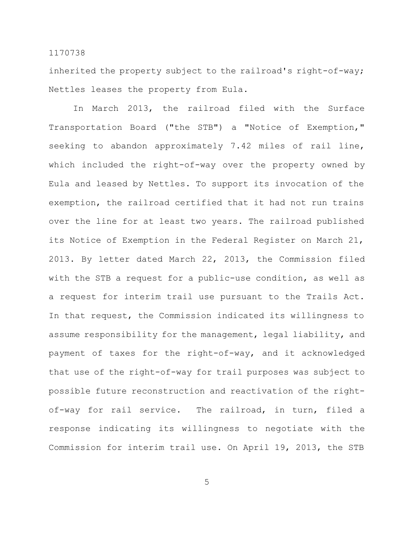inherited the property subject to the railroad's right-of-way; Nettles leases the property from Eula.

In March 2013, the railroad filed with the Surface Transportation Board ("the STB") a "Notice of Exemption," seeking to abandon approximately 7.42 miles of rail line, which included the right-of-way over the property owned by Eula and leased by Nettles. To support its invocation of the exemption, the railroad certified that it had not run trains over the line for at least two years. The railroad published its Notice of Exemption in the Federal Register on March 21, 2013. By letter dated March 22, 2013, the Commission filed with the STB a request for a public-use condition, as well as a request for interim trail use pursuant to the Trails Act. In that request, the Commission indicated its willingness to assume responsibility for the management, legal liability, and payment of taxes for the right-of-way, and it acknowledged that use of the right-of-way for trail purposes was subject to possible future reconstruction and reactivation of the rightof-way for rail service. The railroad, in turn, filed a response indicating its willingness to negotiate with the Commission for interim trail use. On April 19, 2013, the STB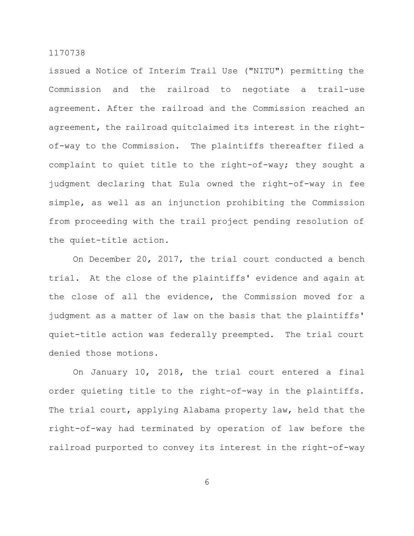issued a Notice of Interim Trail Use ("NITU") permitting the Commission and the railroad to negotiate a trail-use agreement. After the railroad and the Commission reached an agreement, the railroad quitclaimed its interest in the rightof-way to the Commission. The plaintiffs thereafter filed a complaint to quiet title to the right-of-way; they sought a judgment declaring that Eula owned the right-of-way in fee simple, as well as an injunction prohibiting the Commission from proceeding with the trail project pending resolution of the quiet-title action.

On December 20, 2017, the trial court conducted a bench trial. At the close of the plaintiffs' evidence and again at the close of all the evidence, the Commission moved for a judgment as a matter of law on the basis that the plaintiffs' quiet-title action was federally preempted. The trial court denied those motions.

On January 10, 2018, the trial court entered a final order quieting title to the right-of-way in the plaintiffs. The trial court, applying Alabama property law, held that the right-of-way had terminated by operation of law before the railroad purported to convey its interest in the right-of-way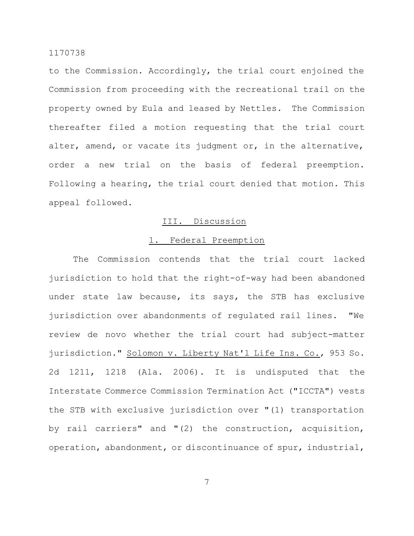to the Commission. Accordingly, the trial court enjoined the Commission from proceeding with the recreational trail on the property owned by Eula and leased by Nettles. The Commission thereafter filed a motion requesting that the trial court alter, amend, or vacate its judgment or, in the alternative, order a new trial on the basis of federal preemption. Following a hearing, the trial court denied that motion. This appeal followed.

#### III. Discussion

## 1. Federal Preemption

The Commission contends that the trial court lacked jurisdiction to hold that the right-of-way had been abandoned under state law because, its says, the STB has exclusive jurisdiction over abandonments of regulated rail lines. "We review de novo whether the trial court had subject-matter jurisdiction." Solomon v. Liberty Nat'l Life Ins. Co., 953 So. 2d 1211, 1218 (Ala. 2006). It is undisputed that the Interstate Commerce Commission Termination Act ("ICCTA") vests the STB with exclusive jurisdiction over "(1) transportation by rail carriers" and "(2) the construction, acquisition, operation, abandonment, or discontinuance of spur, industrial,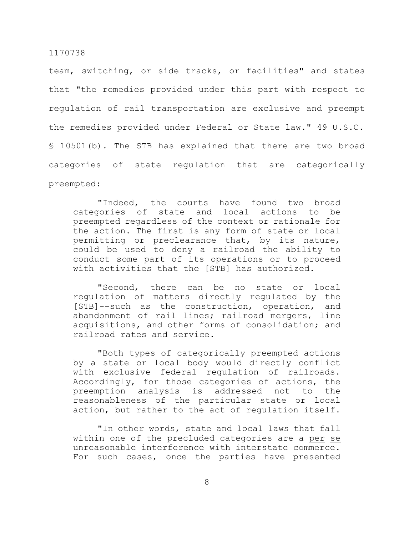team, switching, or side tracks, or facilities" and states that "the remedies provided under this part with respect to regulation of rail transportation are exclusive and preempt the remedies provided under Federal or State law." 49 U.S.C. § 10501(b). The STB has explained that there are two broad categories of state regulation that are categorically preempted:

"Indeed, the courts have found two broad categories of state and local actions to be preempted regardless of the context or rationale for the action. The first is any form of state or local permitting or preclearance that, by its nature, could be used to deny a railroad the ability to conduct some part of its operations or to proceed with activities that the [STB] has authorized.

"Second, there can be no state or local regulation of matters directly regulated by the [STB]--such as the construction, operation, and abandonment of rail lines; railroad mergers, line acquisitions, and other forms of consolidation; and railroad rates and service.

"Both types of categorically preempted actions by a state or local body would directly conflict with exclusive federal regulation of railroads. Accordingly, for those categories of actions, the preemption analysis is addressed not to the reasonableness of the particular state or local action, but rather to the act of regulation itself.

"In other words, state and local laws that fall within one of the precluded categories are a per se unreasonable interference with interstate commerce. For such cases, once the parties have presented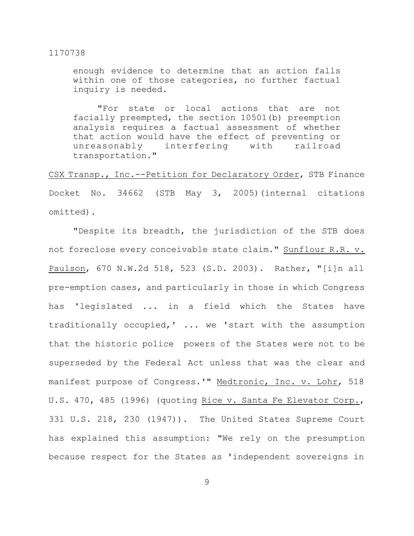enough evidence to determine that an action falls within one of those categories, no further factual inquiry is needed.

"For state or local actions that are not facially preempted, the section 10501(b) preemption analysis requires a factual assessment of whether that action would have the effect of preventing or unreasonably interfering with railroad transportation."

CSX Transp., Inc.--Petition for Declaratory Order, STB Finance Docket No. 34662 (STB May 3, 2005)(internal citations omitted).

"Despite its breadth, the jurisdiction of the STB does not foreclose every conceivable state claim." Sunflour R.R. v. Paulson, 670 N.W.2d 518, 523 (S.D. 2003). Rather, "[i]n all pre-emption cases, and particularly in those in which Congress has 'legislated ... in a field which the States have traditionally occupied,' ... we 'start with the assumption that the historic police powers of the States were not to be superseded by the Federal Act unless that was the clear and manifest purpose of Congress.'" Medtronic, Inc. v. Lohr, 518 U.S. 470, 485 (1996) (quoting Rice v. Santa Fe Elevator Corp., 331 U.S. 218, 230 (1947)). The United States Supreme Court has explained this assumption: "We rely on the presumption because respect for the States as 'independent sovereigns in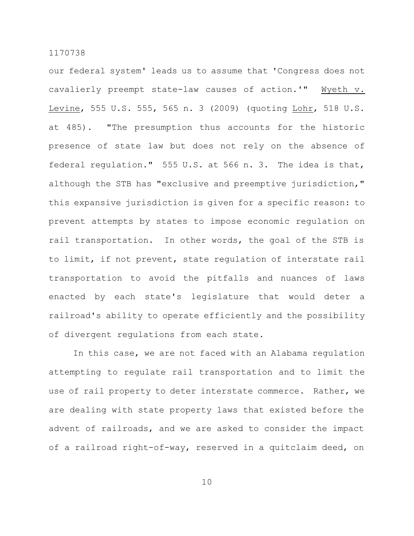our federal system' leads us to assume that 'Congress does not cavalierly preempt state-law causes of action.'" Wyeth v. Levine, 555 U.S. 555, 565 n. 3 (2009) (quoting Lohr, 518 U.S. at 485). "The presumption thus accounts for the historic presence of state law but does not rely on the absence of federal regulation." 555 U.S. at 566 n. 3. The idea is that, although the STB has "exclusive and preemptive jurisdiction," this expansive jurisdiction is given for a specific reason: to prevent attempts by states to impose economic regulation on rail transportation. In other words, the goal of the STB is to limit, if not prevent, state regulation of interstate rail transportation to avoid the pitfalls and nuances of laws enacted by each state's legislature that would deter a railroad's ability to operate efficiently and the possibility of divergent regulations from each state.

In this case, we are not faced with an Alabama regulation attempting to regulate rail transportation and to limit the use of rail property to deter interstate commerce. Rather, we are dealing with state property laws that existed before the advent of railroads, and we are asked to consider the impact of a railroad right-of-way, reserved in a quitclaim deed, on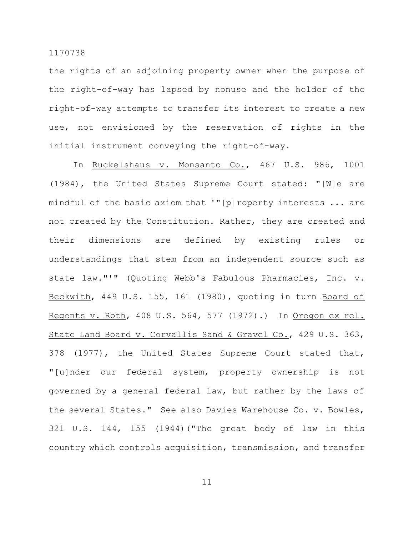the rights of an adjoining property owner when the purpose of the right-of-way has lapsed by nonuse and the holder of the right-of-way attempts to transfer its interest to create a new use, not envisioned by the reservation of rights in the initial instrument conveying the right-of-way.

In Ruckelshaus v. Monsanto Co., 467 U.S. 986, 1001 (1984), the United States Supreme Court stated: "[W]e are mindful of the basic axiom that '"[p]roperty interests ... are not created by the Constitution. Rather, they are created and their dimensions are defined by existing rules or understandings that stem from an independent source such as state law."'" (Quoting Webb's Fabulous Pharmacies, Inc. v. Beckwith, 449 U.S. 155, 161 (1980), quoting in turn Board of Regents v. Roth, 408 U.S. 564, 577 (1972).) In Oregon ex rel. State Land Board v. Corvallis Sand & Gravel Co., 429 U.S. 363, 378 (1977), the United States Supreme Court stated that, "[u]nder our federal system, property ownership is not governed by a general federal law, but rather by the laws of the several States." See also Davies Warehouse Co. v. Bowles, 321 U.S. 144, 155 (1944)("The great body of law in this country which controls acquisition, transmission, and transfer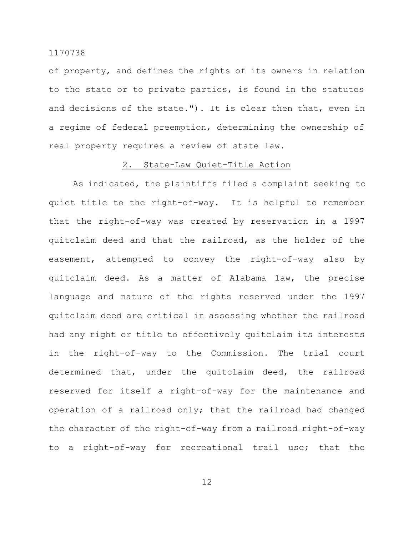of property, and defines the rights of its owners in relation to the state or to private parties, is found in the statutes and decisions of the state."). It is clear then that, even in a regime of federal preemption, determining the ownership of real property requires a review of state law.

### 2. State-Law Quiet-Title Action

As indicated, the plaintiffs filed a complaint seeking to quiet title to the right-of-way. It is helpful to remember that the right-of-way was created by reservation in a 1997 quitclaim deed and that the railroad, as the holder of the easement, attempted to convey the right-of-way also by quitclaim deed. As a matter of Alabama law, the precise language and nature of the rights reserved under the 1997 quitclaim deed are critical in assessing whether the railroad had any right or title to effectively quitclaim its interests in the right-of-way to the Commission. The trial court determined that, under the quitclaim deed, the railroad reserved for itself a right-of-way for the maintenance and operation of a railroad only; that the railroad had changed the character of the right-of-way from a railroad right-of-way to a right-of-way for recreational trail use; that the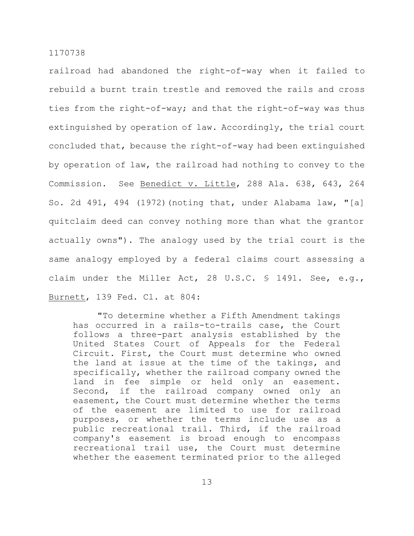railroad had abandoned the right-of-way when it failed to rebuild a burnt train trestle and removed the rails and cross ties from the right-of-way; and that the right-of-way was thus extinguished by operation of law. Accordingly, the trial court concluded that, because the right-of-way had been extinguished by operation of law, the railroad had nothing to convey to the Commission. See Benedict v. Little, 288 Ala. 638, 643, 264 So. 2d 491, 494 (1972)(noting that, under Alabama law, "[a] quitclaim deed can convey nothing more than what the grantor actually owns"). The analogy used by the trial court is the same analogy employed by a federal claims court assessing a claim under the Miller Act, 28 U.S.C. § 1491. See, e.g., Burnett, 139 Fed. Cl. at 804:

"To determine whether a Fifth Amendment takings has occurred in a rails-to-trails case, the Court follows a three-part analysis established by the United States Court of Appeals for the Federal Circuit. First, the Court must determine who owned the land at issue at the time of the takings, and specifically, whether the railroad company owned the land in fee simple or held only an easement. Second, if the railroad company owned only an easement, the Court must determine whether the terms of the easement are limited to use for railroad purposes, or whether the terms include use as a public recreational trail. Third, if the railroad company's easement is broad enough to encompass recreational trail use, the Court must determine whether the easement terminated prior to the alleged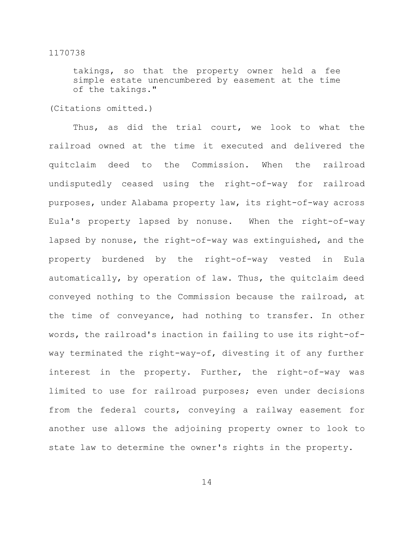takings, so that the property owner held a fee simple estate unencumbered by easement at the time of the takings."

(Citations omitted.)

Thus, as did the trial court, we look to what the railroad owned at the time it executed and delivered the quitclaim deed to the Commission. When the railroad undisputedly ceased using the right-of-way for railroad purposes, under Alabama property law, its right-of-way across Eula's property lapsed by nonuse. When the right-of-way lapsed by nonuse, the right-of-way was extinguished, and the property burdened by the right-of-way vested in Eula automatically, by operation of law. Thus, the quitclaim deed conveyed nothing to the Commission because the railroad, at the time of conveyance, had nothing to transfer. In other words, the railroad's inaction in failing to use its right-ofway terminated the right-way-of, divesting it of any further interest in the property. Further, the right-of-way was limited to use for railroad purposes; even under decisions from the federal courts, conveying a railway easement for another use allows the adjoining property owner to look to state law to determine the owner's rights in the property.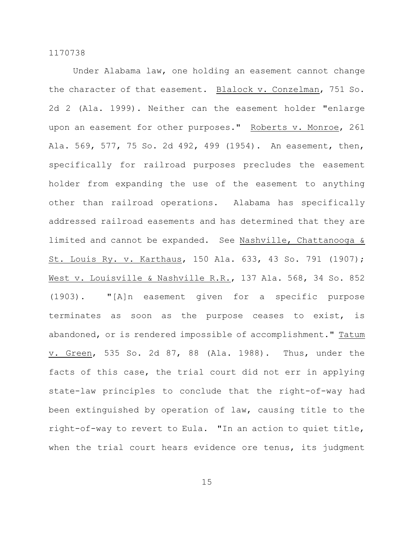Under Alabama law, one holding an easement cannot change the character of that easement. Blalock v. Conzelman, 751 So. 2d 2 (Ala. 1999). Neither can the easement holder "enlarge upon an easement for other purposes." Roberts v. Monroe, 261 Ala. 569, 577, 75 So. 2d 492, 499 (1954). An easement, then, specifically for railroad purposes precludes the easement holder from expanding the use of the easement to anything other than railroad operations. Alabama has specifically addressed railroad easements and has determined that they are limited and cannot be expanded. See Nashville, Chattanooga & St. Louis Ry. v. Karthaus, 150 Ala. 633, 43 So. 791 (1907); West v. Louisville & Nashville R.R., 137 Ala. 568, 34 So. 852 (1903). "[A]n easement given for a specific purpose terminates as soon as the purpose ceases to exist, is abandoned, or is rendered impossible of accomplishment." Tatum v. Green, 535 So. 2d 87, 88 (Ala. 1988). Thus, under the facts of this case, the trial court did not err in applying state-law principles to conclude that the right-of-way had been extinguished by operation of law, causing title to the right-of-way to revert to Eula. "In an action to quiet title, when the trial court hears evidence ore tenus, its judgment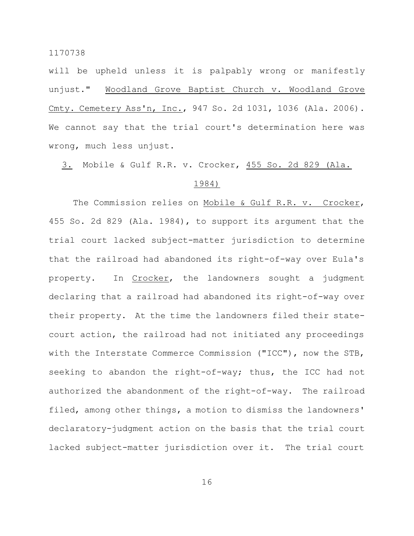will be upheld unless it is palpably wrong or manifestly unjust." Woodland Grove Baptist Church v. Woodland Grove Cmty. Cemetery Ass'n, Inc., 947 So. 2d 1031, 1036 (Ala. 2006). We cannot say that the trial court's determination here was wrong, much less unjust.

3. Mobile & Gulf R.R. v. Crocker, 455 So. 2d 829 (Ala.

## 1984)

The Commission relies on Mobile & Gulf R.R. v. Crocker, 455 So. 2d 829 (Ala. 1984), to support its argument that the trial court lacked subject-matter jurisdiction to determine that the railroad had abandoned its right-of-way over Eula's property. In Crocker, the landowners sought a judgment declaring that a railroad had abandoned its right-of-way over their property. At the time the landowners filed their statecourt action, the railroad had not initiated any proceedings with the Interstate Commerce Commission ("ICC"), now the STB, seeking to abandon the right-of-way; thus, the ICC had not authorized the abandonment of the right-of-way. The railroad filed, among other things, a motion to dismiss the landowners' declaratory-judgment action on the basis that the trial court lacked subject-matter jurisdiction over it. The trial court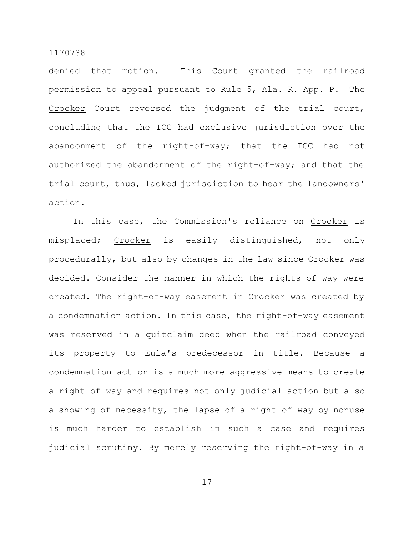denied that motion. This Court granted the railroad permission to appeal pursuant to Rule 5, Ala. R. App. P. The Crocker Court reversed the judgment of the trial court, concluding that the ICC had exclusive jurisdiction over the abandonment of the right-of-way; that the ICC had not authorized the abandonment of the right-of-way; and that the trial court, thus, lacked jurisdiction to hear the landowners' action.

In this case, the Commission's reliance on Crocker is misplaced; Crocker is easily distinguished, not only procedurally, but also by changes in the law since Crocker was decided. Consider the manner in which the rights-of-way were created. The right-of-way easement in Crocker was created by a condemnation action. In this case, the right-of-way easement was reserved in a quitclaim deed when the railroad conveyed its property to Eula's predecessor in title. Because a condemnation action is a much more aggressive means to create a right-of-way and requires not only judicial action but also a showing of necessity, the lapse of a right-of-way by nonuse is much harder to establish in such a case and requires judicial scrutiny. By merely reserving the right-of-way in a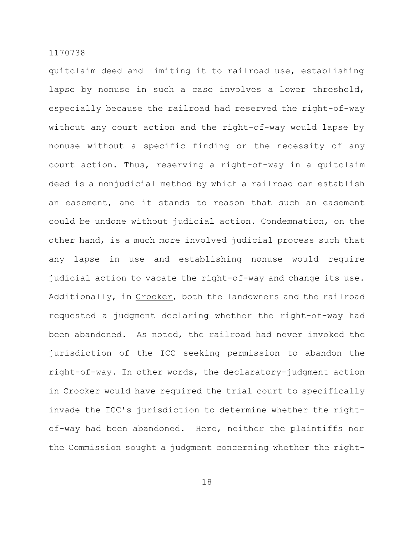quitclaim deed and limiting it to railroad use, establishing lapse by nonuse in such a case involves a lower threshold, especially because the railroad had reserved the right-of-way without any court action and the right-of-way would lapse by nonuse without a specific finding or the necessity of any court action. Thus, reserving a right-of-way in a quitclaim deed is a nonjudicial method by which a railroad can establish an easement, and it stands to reason that such an easement could be undone without judicial action. Condemnation, on the other hand, is a much more involved judicial process such that any lapse in use and establishing nonuse would require judicial action to vacate the right-of-way and change its use. Additionally, in Crocker, both the landowners and the railroad requested a judgment declaring whether the right-of-way had been abandoned. As noted, the railroad had never invoked the jurisdiction of the ICC seeking permission to abandon the right-of-way. In other words, the declaratory-judgment action in Crocker would have required the trial court to specifically invade the ICC's jurisdiction to determine whether the rightof-way had been abandoned. Here, neither the plaintiffs nor the Commission sought a judgment concerning whether the right-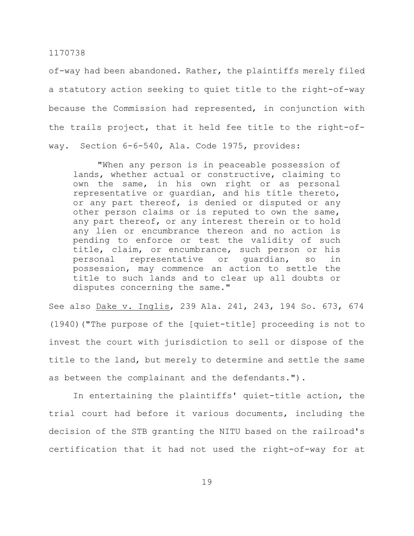of-way had been abandoned. Rather, the plaintiffs merely filed a statutory action seeking to quiet title to the right-of-way because the Commission had represented, in conjunction with the trails project, that it held fee title to the right-ofway. Section 6-6-540, Ala. Code 1975, provides:

"When any person is in peaceable possession of lands, whether actual or constructive, claiming to own the same, in his own right or as personal representative or guardian, and his title thereto, or any part thereof, is denied or disputed or any other person claims or is reputed to own the same, any part thereof, or any interest therein or to hold any lien or encumbrance thereon and no action is pending to enforce or test the validity of such title, claim, or encumbrance, such person or his personal representative or guardian, so in possession, may commence an action to settle the title to such lands and to clear up all doubts or disputes concerning the same."

See also Dake v. Inglis, 239 Ala. 241, 243, 194 So. 673, 674 (1940)("The purpose of the [quiet-title] proceeding is not to invest the court with jurisdiction to sell or dispose of the title to the land, but merely to determine and settle the same as between the complainant and the defendants.").

In entertaining the plaintiffs' quiet-title action, the trial court had before it various documents, including the decision of the STB granting the NITU based on the railroad's certification that it had not used the right-of-way for at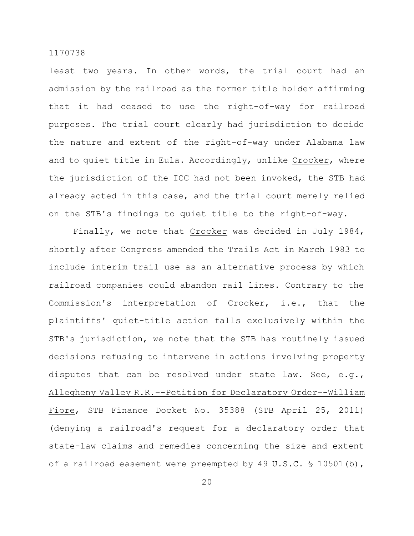least two years. In other words, the trial court had an admission by the railroad as the former title holder affirming that it had ceased to use the right-of-way for railroad purposes. The trial court clearly had jurisdiction to decide the nature and extent of the right-of-way under Alabama law and to quiet title in Eula. Accordingly, unlike Crocker, where the jurisdiction of the ICC had not been invoked, the STB had already acted in this case, and the trial court merely relied on the STB's findings to quiet title to the right-of-way.

Finally, we note that Crocker was decided in July 1984, shortly after Congress amended the Trails Act in March 1983 to include interim trail use as an alternative process by which railroad companies could abandon rail lines. Contrary to the Commission's interpretation of Crocker, i.e., that the plaintiffs' quiet-title action falls exclusively within the STB's jurisdiction, we note that the STB has routinely issued decisions refusing to intervene in actions involving property disputes that can be resolved under state law. See, e.g., Allegheny Valley R.R.–-Petition for Declaratory Order–-William Fiore, STB Finance Docket No. 35388 (STB April 25, 2011) (denying a railroad's request for a declaratory order that state-law claims and remedies concerning the size and extent of a railroad easement were preempted by 49 U.S.C. § 10501(b),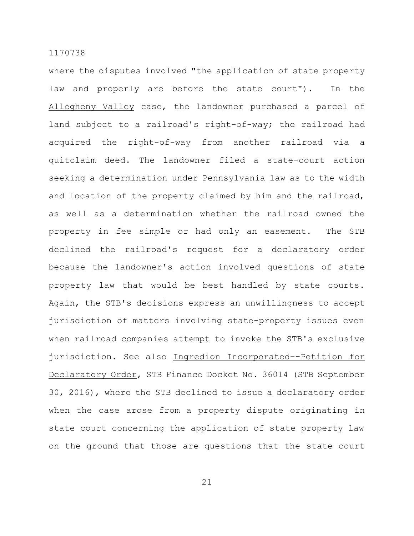where the disputes involved "the application of state property law and properly are before the state court"). In the Allegheny Valley case, the landowner purchased a parcel of land subject to a railroad's right-of-way; the railroad had acquired the right-of-way from another railroad via a quitclaim deed. The landowner filed a state-court action seeking a determination under Pennsylvania law as to the width and location of the property claimed by him and the railroad, as well as a determination whether the railroad owned the property in fee simple or had only an easement. The STB declined the railroad's request for a declaratory order because the landowner's action involved questions of state property law that would be best handled by state courts. Again, the STB's decisions express an unwillingness to accept jurisdiction of matters involving state-property issues even when railroad companies attempt to invoke the STB's exclusive jurisdiction. See also Ingredion Incorporated–-Petition for Declaratory Order, STB Finance Docket No. 36014 (STB September 30, 2016), where the STB declined to issue a declaratory order when the case arose from a property dispute originating in state court concerning the application of state property law on the ground that those are questions that the state court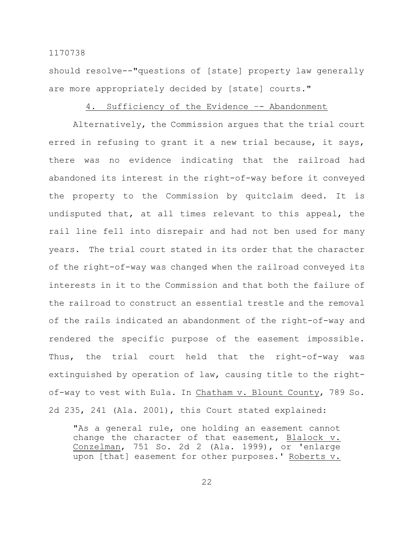should resolve--"questions of [state] property law generally are more appropriately decided by [state] courts."

## 4. Sufficiency of the Evidence -- Abandonment

Alternatively, the Commission argues that the trial court erred in refusing to grant it a new trial because, it says, there was no evidence indicating that the railroad had abandoned its interest in the right-of-way before it conveyed the property to the Commission by quitclaim deed. It is undisputed that, at all times relevant to this appeal, the rail line fell into disrepair and had not ben used for many years. The trial court stated in its order that the character of the right-of-way was changed when the railroad conveyed its interests in it to the Commission and that both the failure of the railroad to construct an essential trestle and the removal of the rails indicated an abandonment of the right-of-way and rendered the specific purpose of the easement impossible. Thus, the trial court held that the right-of-way was extinguished by operation of law, causing title to the rightof-way to vest with Eula. In Chatham v. Blount County, 789 So. 2d 235, 241 (Ala. 2001), this Court stated explained:

"As a general rule, one holding an easement cannot change the character of that easement, Blalock v. Conzelman, 751 So. 2d 2 (Ala. 1999), or 'enlarge upon [that] easement for other purposes.' Roberts v.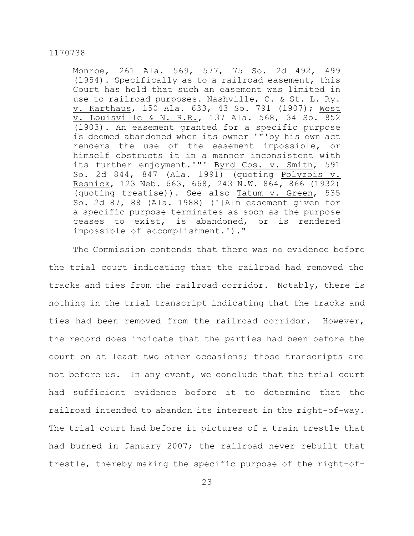Monroe, 261 Ala. 569, 577, 75 So. 2d 492, 499 (1954). Specifically as to a railroad easement, this Court has held that such an easement was limited in use to railroad purposes. Nashville, C. & St. L. Ry. v. Karthaus, 150 Ala. 633, 43 So. 791 (1907); West v. Louisville & N. R.R., 137 Ala. 568, 34 So. 852 (1903). An easement granted for a specific purpose is deemed abandoned when its owner '"'by his own act renders the use of the easement impossible, or himself obstructs it in a manner inconsistent with its further enjoyment.'"' Byrd Cos. v. Smith, 591 So. 2d 844, 847 (Ala. 1991) (quoting Polyzois v. Resnick, 123 Neb. 663, 668, 243 N.W. 864, 866 (1932) (quoting treatise)). See also Tatum v. Green, 535 So. 2d 87, 88 (Ala. 1988) ('[A]n easement given for a specific purpose terminates as soon as the purpose ceases to exist, is abandoned, or is rendered impossible of accomplishment.')."

The Commission contends that there was no evidence before the trial court indicating that the railroad had removed the tracks and ties from the railroad corridor. Notably, there is nothing in the trial transcript indicating that the tracks and ties had been removed from the railroad corridor. However, the record does indicate that the parties had been before the court on at least two other occasions; those transcripts are not before us. In any event, we conclude that the trial court had sufficient evidence before it to determine that the railroad intended to abandon its interest in the right-of-way. The trial court had before it pictures of a train trestle that had burned in January 2007; the railroad never rebuilt that trestle, thereby making the specific purpose of the right-of-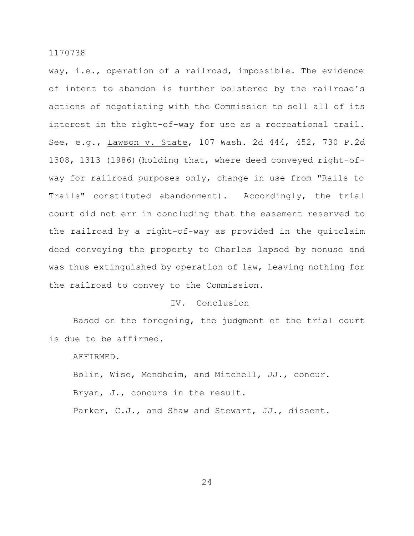way, i.e., operation of a railroad, impossible. The evidence of intent to abandon is further bolstered by the railroad's actions of negotiating with the Commission to sell all of its interest in the right-of-way for use as a recreational trail. See, e.g., Lawson v. State, 107 Wash. 2d 444, 452, 730 P.2d 1308, 1313 (1986)(holding that, where deed conveyed right-ofway for railroad purposes only, change in use from "Rails to Trails" constituted abandonment). Accordingly, the trial court did not err in concluding that the easement reserved to the railroad by a right-of-way as provided in the quitclaim deed conveying the property to Charles lapsed by nonuse and was thus extinguished by operation of law, leaving nothing for the railroad to convey to the Commission.

## IV. Conclusion

Based on the foregoing, the judgment of the trial court is due to be affirmed.

AFFIRMED.

Bolin, Wise, Mendheim, and Mitchell, JJ., concur. Bryan, J., concurs in the result. Parker, C.J., and Shaw and Stewart, JJ., dissent.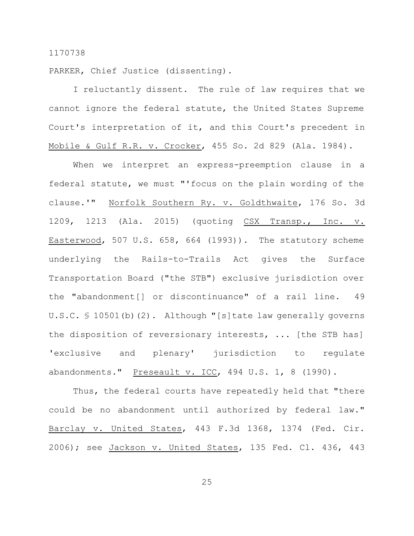PARKER, Chief Justice (dissenting).

I reluctantly dissent. The rule of law requires that we cannot ignore the federal statute, the United States Supreme Court's interpretation of it, and this Court's precedent in Mobile & Gulf R.R. v. Crocker, 455 So. 2d 829 (Ala. 1984).

When we interpret an express-preemption clause in a federal statute, we must "'focus on the plain wording of the clause.'" Norfolk Southern Ry. v. Goldthwaite, 176 So. 3d 1209, 1213 (Ala. 2015) (quoting CSX Transp., Inc. v. Easterwood, 507 U.S. 658, 664 (1993)). The statutory scheme underlying the Rails-to-Trails Act gives the Surface Transportation Board ("the STB") exclusive jurisdiction over the "abandonment[] or discontinuance" of a rail line. 49 U.S.C. § 10501(b)(2). Although "[s]tate law generally governs the disposition of reversionary interests, ... [the STB has] 'exclusive and plenary' jurisdiction to regulate abandonments." Preseault v. ICC, 494 U.S. 1, 8 (1990).

Thus, the federal courts have repeatedly held that "there could be no abandonment until authorized by federal law." Barclay v. United States, 443 F.3d 1368, 1374 (Fed. Cir. 2006); see Jackson v. United States, 135 Fed. Cl. 436, 443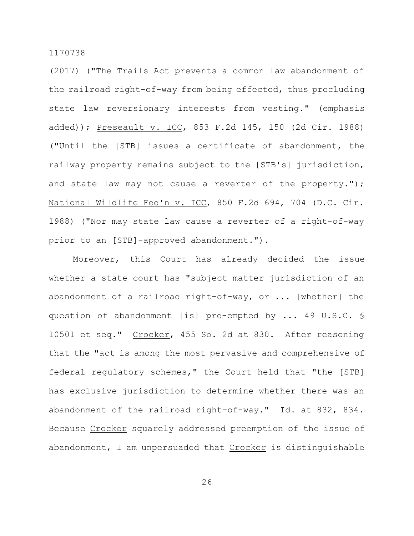(2017) ("The Trails Act prevents a common law abandonment of the railroad right-of-way from being effected, thus precluding state law reversionary interests from vesting." (emphasis added)); Preseault v. ICC, 853 F.2d 145, 150 (2d Cir. 1988) ("Until the [STB] issues a certificate of abandonment, the railway property remains subject to the [STB's] jurisdiction, and state law may not cause a reverter of the property."); National Wildlife Fed'n v. ICC, 850 F.2d 694, 704 (D.C. Cir. 1988) ("Nor may state law cause a reverter of a right-of-way prior to an [STB]-approved abandonment.").

Moreover, this Court has already decided the issue whether a state court has "subject matter jurisdiction of an abandonment of a railroad right-of-way, or ... [whether] the question of abandonment [is] pre-empted by ... 49 U.S.C. § 10501 et seq." Crocker, 455 So. 2d at 830. After reasoning that the "act is among the most pervasive and comprehensive of federal regulatory schemes," the Court held that "the [STB] has exclusive jurisdiction to determine whether there was an abandonment of the railroad right-of-way." Id. at 832, 834. Because Crocker squarely addressed preemption of the issue of abandonment, I am unpersuaded that Crocker is distinguishable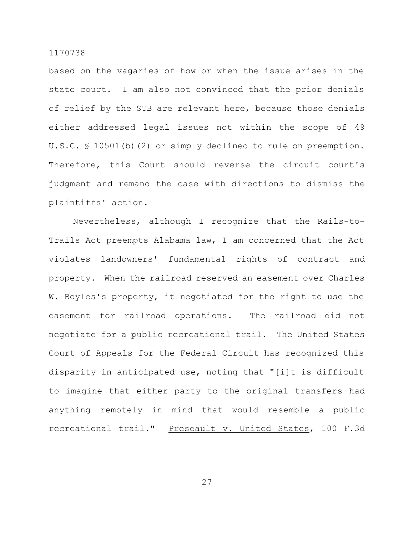based on the vagaries of how or when the issue arises in the state court. I am also not convinced that the prior denials of relief by the STB are relevant here, because those denials either addressed legal issues not within the scope of 49 U.S.C. § 10501(b)(2) or simply declined to rule on preemption. Therefore, this Court should reverse the circuit court's judgment and remand the case with directions to dismiss the plaintiffs' action.

Nevertheless, although I recognize that the Rails-to-Trails Act preempts Alabama law, I am concerned that the Act violates landowners' fundamental rights of contract and property. When the railroad reserved an easement over Charles W. Boyles's property, it negotiated for the right to use the easement for railroad operations. The railroad did not negotiate for a public recreational trail. The United States Court of Appeals for the Federal Circuit has recognized this disparity in anticipated use, noting that "[i]t is difficult to imagine that either party to the original transfers had anything remotely in mind that would resemble a public recreational trail." Preseault v. United States, 100 F.3d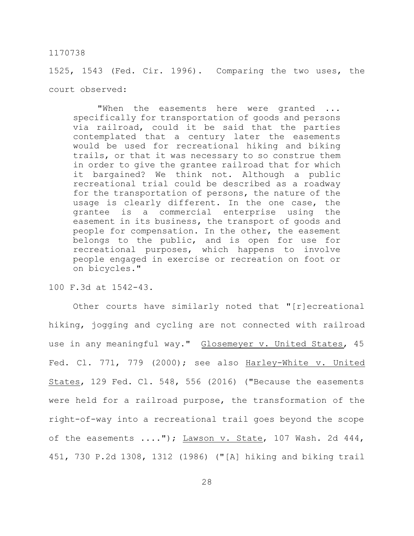1525, 1543 (Fed. Cir. 1996). Comparing the two uses, the court observed:

"When the easements here were granted ... specifically for transportation of goods and persons via railroad, could it be said that the parties contemplated that a century later the easements would be used for recreational hiking and biking trails, or that it was necessary to so construe them in order to give the grantee railroad that for which it bargained? We think not. Although a public recreational trial could be described as a roadway for the transportation of persons, the nature of the usage is clearly different. In the one case, the grantee is a commercial enterprise using the easement in its business, the transport of goods and people for compensation. In the other, the easement belongs to the public, and is open for use for recreational purposes, which happens to involve people engaged in exercise or recreation on foot or on bicycles."

100 F.3d at 1542-43.

Other courts have similarly noted that "[r]ecreational hiking, jogging and cycling are not connected with railroad use in any meaningful way." Glosemeyer v. United States, 45 Fed. Cl. 771, 779 (2000); see also Harley-White v. United States, 129 Fed. Cl. 548, 556 (2016) ("Because the easements were held for a railroad purpose, the transformation of the right-of-way into a recreational trail goes beyond the scope of the easements ...."); Lawson v. State, 107 Wash. 2d 444, 451, 730 P.2d 1308, 1312 (1986) ("[A] hiking and biking trail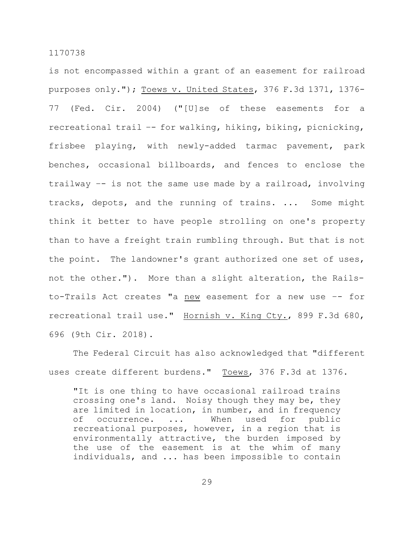is not encompassed within a grant of an easement for railroad purposes only."); Toews v. United States, 376 F.3d 1371, 1376- 77 (Fed. Cir. 2004) ("[U]se of these easements for a recreational trail –- for walking, hiking, biking, picnicking, frisbee playing, with newly-added tarmac pavement, park benches, occasional billboards, and fences to enclose the trailway –- is not the same use made by a railroad, involving tracks, depots, and the running of trains. ... Some might think it better to have people strolling on one's property than to have a freight train rumbling through. But that is not the point. The landowner's grant authorized one set of uses, not the other."). More than a slight alteration, the Railsto-Trails Act creates "a new easement for a new use -- for recreational trail use." Hornish v. King Cty., 899 F.3d 680, 696 (9th Cir. 2018).

The Federal Circuit has also acknowledged that "different uses create different burdens." Toews, 376 F.3d at 1376.

"It is one thing to have occasional railroad trains crossing one's land. Noisy though they may be, they are limited in location, in number, and in frequency of occurrence. ... When used for public recreational purposes, however, in a region that is environmentally attractive, the burden imposed by the use of the easement is at the whim of many individuals, and ... has been impossible to contain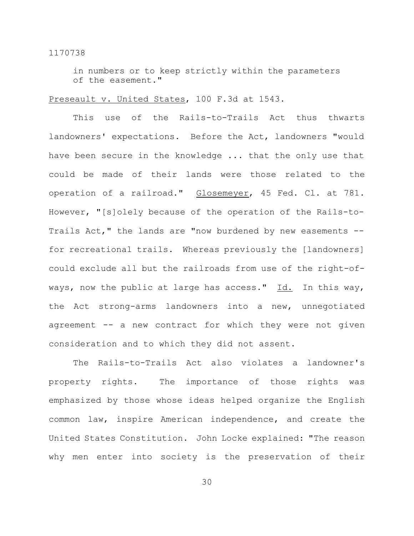in numbers or to keep strictly within the parameters of the easement."

## Preseault v. United States, 100 F.3d at 1543.

This use of the Rails-to-Trails Act thus thwarts landowners' expectations. Before the Act, landowners "would have been secure in the knowledge ... that the only use that could be made of their lands were those related to the operation of a railroad." Glosemeyer, 45 Fed. Cl. at 781. However, "[s]olely because of the operation of the Rails-to-Trails Act," the lands are "now burdened by new easements -for recreational trails. Whereas previously the [landowners] could exclude all but the railroads from use of the right-ofways, now the public at large has access."  $Id.$  In this way, the Act strong-arms landowners into a new, unnegotiated agreement -- a new contract for which they were not given consideration and to which they did not assent.

The Rails-to-Trails Act also violates a landowner's property rights. The importance of those rights was emphasized by those whose ideas helped organize the English common law, inspire American independence, and create the United States Constitution. John Locke explained: "The reason why men enter into society is the preservation of their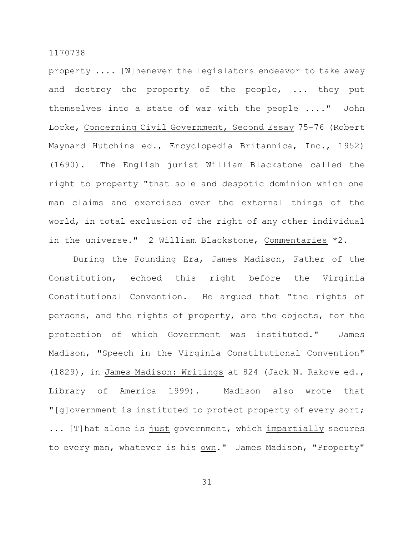property .... [W]henever the legislators endeavor to take away and destroy the property of the people, ... they put themselves into a state of war with the people ...." John Locke, Concerning Civil Government, Second Essay 75-76 (Robert Maynard Hutchins ed., Encyclopedia Britannica, Inc., 1952) (1690). The English jurist William Blackstone called the right to property "that sole and despotic dominion which one man claims and exercises over the external things of the world, in total exclusion of the right of any other individual in the universe." 2 William Blackstone, Commentaries \*2.

During the Founding Era, James Madison, Father of the Constitution, echoed this right before the Virginia Constitutional Convention. He argued that "the rights of persons, and the rights of property, are the objects, for the protection of which Government was instituted." James Madison, "Speech in the Virginia Constitutional Convention" (1829), in James Madison: Writings at 824 (Jack N. Rakove ed., Library of America 1999). Madison also wrote that "[g]overnment is instituted to protect property of every sort; ... [T]hat alone is just government, which impartially secures to every man, whatever is his own." James Madison, "Property"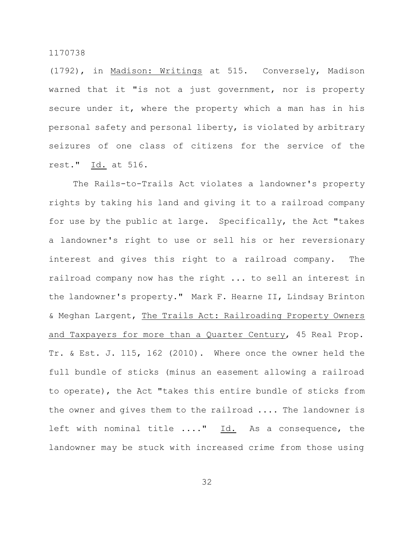(1792), in Madison: Writings at 515. Conversely, Madison warned that it "is not a just government, nor is property secure under it, where the property which a man has in his personal safety and personal liberty, is violated by arbitrary seizures of one class of citizens for the service of the rest." Id. at 516.

The Rails-to-Trails Act violates a landowner's property rights by taking his land and giving it to a railroad company for use by the public at large. Specifically, the Act "takes a landowner's right to use or sell his or her reversionary interest and gives this right to a railroad company. The railroad company now has the right ... to sell an interest in the landowner's property." Mark F. Hearne II, Lindsay Brinton & Meghan Largent, The Trails Act: Railroading Property Owners and Taxpayers for more than a Quarter Century, 45 Real Prop. Tr. & Est. J. 115, 162 (2010). Where once the owner held the full bundle of sticks (minus an easement allowing a railroad to operate), the Act "takes this entire bundle of sticks from the owner and gives them to the railroad .... The landowner is left with nominal title ...." Id. As a consequence, the landowner may be stuck with increased crime from those using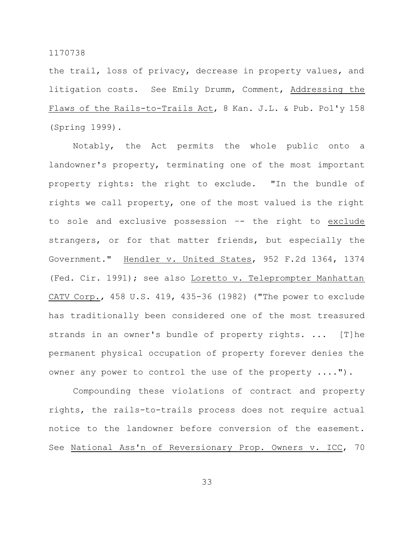the trail, loss of privacy, decrease in property values, and litigation costs. See Emily Drumm, Comment, Addressing the Flaws of the Rails-to-Trails Act, 8 Kan. J.L. & Pub. Pol'y 158 (Spring 1999).

Notably, the Act permits the whole public onto a landowner's property, terminating one of the most important property rights: the right to exclude. "In the bundle of rights we call property, one of the most valued is the right to sole and exclusive possession -- the right to exclude strangers, or for that matter friends, but especially the Government." Hendler v. United States, 952 F.2d 1364, 1374 (Fed. Cir. 1991); see also Loretto v. Teleprompter Manhattan CATV Corp., 458 U.S. 419, 435-36 (1982) ("The power to exclude has traditionally been considered one of the most treasured strands in an owner's bundle of property rights. ... [T]he permanent physical occupation of property forever denies the owner any power to control the use of the property ....").

Compounding these violations of contract and property rights, the rails-to-trails process does not require actual notice to the landowner before conversion of the easement. See National Ass'n of Reversionary Prop. Owners v. ICC, 70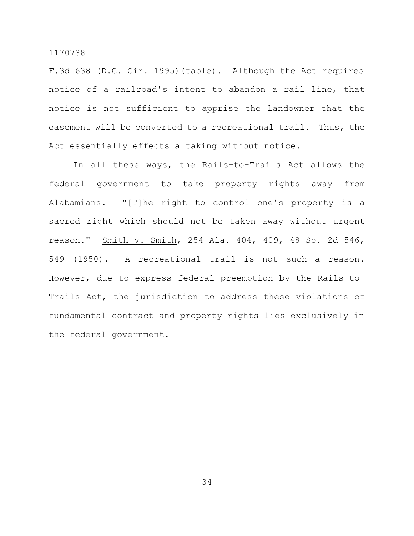F.3d 638 (D.C. Cir. 1995)(table). Although the Act requires notice of a railroad's intent to abandon a rail line, that notice is not sufficient to apprise the landowner that the easement will be converted to a recreational trail. Thus, the Act essentially effects a taking without notice.

In all these ways, the Rails-to-Trails Act allows the federal government to take property rights away from Alabamians. "[T]he right to control one's property is a sacred right which should not be taken away without urgent reason." Smith v. Smith, 254 Ala. 404, 409, 48 So. 2d 546, 549 (1950). A recreational trail is not such a reason. However, due to express federal preemption by the Rails-to-Trails Act, the jurisdiction to address these violations of fundamental contract and property rights lies exclusively in the federal government.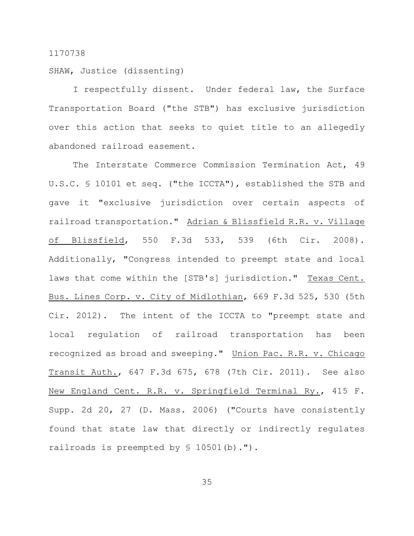SHAW, Justice (dissenting)

I respectfully dissent. Under federal law, the Surface Transportation Board ("the STB") has exclusive jurisdiction over this action that seeks to quiet title to an allegedly abandoned railroad easement.

The Interstate Commerce Commission Termination Act, 49 U.S.C. § 10101 et seq. ("the ICCTA"), established the STB and gave it "exclusive jurisdiction over certain aspects of railroad transportation." Adrian & Blissfield R.R. v. Village of Blissfield, 550 F.3d 533, 539 (6th Cir. 2008). Additionally, "Congress intended to preempt state and local laws that come within the [STB's] jurisdiction." Texas Cent. Bus. Lines Corp. v. City of Midlothian, 669 F.3d 525, 530 (5th Cir. 2012). The intent of the ICCTA to "preempt state and local regulation of railroad transportation has been recognized as broad and sweeping." Union Pac. R.R. v. Chicago Transit Auth., 647 F.3d 675, 678 (7th Cir. 2011). See also New England Cent. R.R. v. Springfield Terminal Ry., 415 F. Supp. 2d 20, 27 (D. Mass. 2006) ("Courts have consistently found that state law that directly or indirectly regulates railroads is preempted by  $$ 10501(b) .$ ").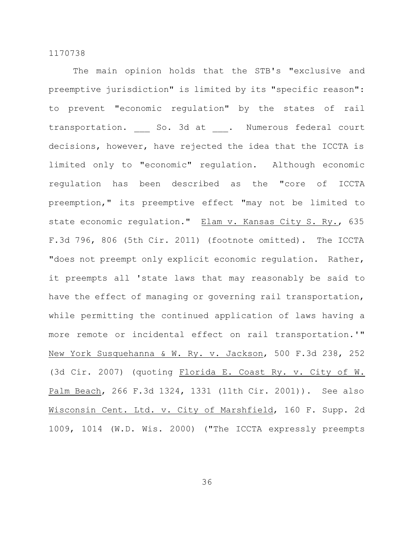The main opinion holds that the STB's "exclusive and preemptive jurisdiction" is limited by its "specific reason": to prevent "economic regulation" by the states of rail transportation. So. 3d at . Numerous federal court decisions, however, have rejected the idea that the ICCTA is limited only to "economic" regulation. Although economic regulation has been described as the "core of ICCTA preemption," its preemptive effect "may not be limited to state economic regulation." Elam v. Kansas City S. Ry., 635 F.3d 796, 806 (5th Cir. 2011) (footnote omitted). The ICCTA "does not preempt only explicit economic regulation. Rather, it preempts all 'state laws that may reasonably be said to have the effect of managing or governing rail transportation, while permitting the continued application of laws having a more remote or incidental effect on rail transportation.'" New York Susquehanna & W. Ry. v. Jackson, 500 F.3d 238, 252 (3d Cir. 2007) (quoting Florida E. Coast Ry. v. City of W. Palm Beach, 266 F.3d 1324, 1331 (11th Cir. 2001)). See also Wisconsin Cent. Ltd. v. City of Marshfield, 160 F. Supp. 2d 1009, 1014 (W.D. Wis. 2000) ("The ICCTA expressly preempts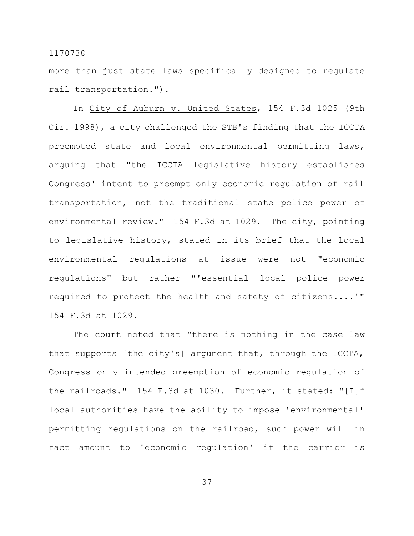more than just state laws specifically designed to regulate rail transportation.").

In City of Auburn v. United States, 154 F.3d 1025 (9th Cir. 1998), a city challenged the STB's finding that the ICCTA preempted state and local environmental permitting laws, arguing that "the ICCTA legislative history establishes Congress' intent to preempt only economic regulation of rail transportation, not the traditional state police power of environmental review." 154 F.3d at 1029. The city, pointing to legislative history, stated in its brief that the local environmental regulations at issue were not "economic regulations" but rather "'essential local police power required to protect the health and safety of citizens....'" 154 F.3d at 1029.

The court noted that "there is nothing in the case law that supports [the city's] argument that, through the ICCTA, Congress only intended preemption of economic regulation of the railroads." 154 F.3d at 1030. Further, it stated: "[I]f local authorities have the ability to impose 'environmental' permitting regulations on the railroad, such power will in fact amount to 'economic regulation' if the carrier is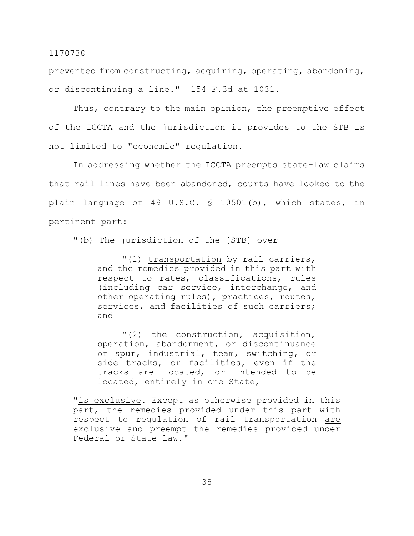prevented from constructing, acquiring, operating, abandoning, or discontinuing a line." 154 F.3d at 1031.

Thus, contrary to the main opinion, the preemptive effect of the ICCTA and the jurisdiction it provides to the STB is not limited to "economic" regulation.

In addressing whether the ICCTA preempts state-law claims that rail lines have been abandoned, courts have looked to the plain language of 49 U.S.C. § 10501(b), which states, in pertinent part:

"(b) The jurisdiction of the [STB] over--

"(1) transportation by rail carriers, and the remedies provided in this part with respect to rates, classifications, rules (including car service, interchange, and other operating rules), practices, routes, services, and facilities of such carriers; and

"(2) the construction, acquisition, operation, abandonment, or discontinuance of spur, industrial, team, switching, or side tracks, or facilities, even if the tracks are located, or intended to be located, entirely in one State,

"is exclusive. Except as otherwise provided in this part, the remedies provided under this part with respect to regulation of rail transportation are exclusive and preempt the remedies provided under Federal or State law."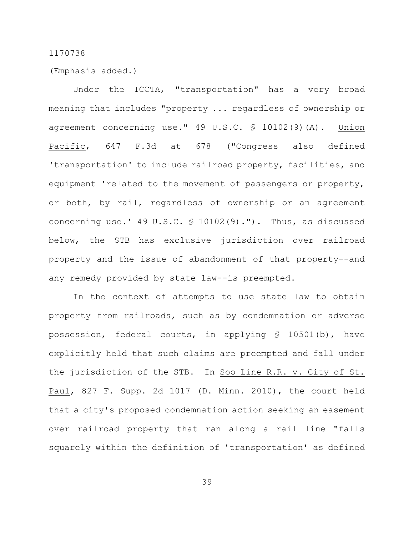(Emphasis added.)

Under the ICCTA, "transportation" has a very broad meaning that includes "property ... regardless of ownership or agreement concerning use." 49 U.S.C. § 10102(9)(A). Union Pacific, 647 F.3d at 678 ("Congress also defined 'transportation' to include railroad property, facilities, and equipment 'related to the movement of passengers or property, or both, by rail, regardless of ownership or an agreement concerning use.' 49 U.S.C. § 10102(9)."). Thus, as discussed below, the STB has exclusive jurisdiction over railroad property and the issue of abandonment of that property--and any remedy provided by state law--is preempted.

In the context of attempts to use state law to obtain property from railroads, such as by condemnation or adverse possession, federal courts, in applying § 10501(b), have explicitly held that such claims are preempted and fall under the jurisdiction of the STB. In Soo Line R.R. v. City of St. Paul, 827 F. Supp. 2d 1017 (D. Minn. 2010), the court held that a city's proposed condemnation action seeking an easement over railroad property that ran along a rail line "falls squarely within the definition of 'transportation' as defined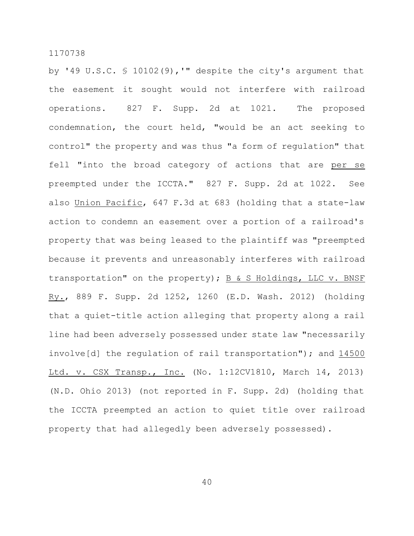by '49 U.S.C. § 10102(9),'" despite the city's argument that the easement it sought would not interfere with railroad operations. 827 F. Supp. 2d at 1021. The proposed condemnation, the court held, "would be an act seeking to control" the property and was thus "a form of regulation" that fell "into the broad category of actions that are per se preempted under the ICCTA." 827 F. Supp. 2d at 1022. See also Union Pacific, 647 F.3d at 683 (holding that a state-law action to condemn an easement over a portion of a railroad's property that was being leased to the plaintiff was "preempted because it prevents and unreasonably interferes with railroad transportation" on the property);  $B \& S$  Holdings, LLC v. BNSF Ry., 889 F. Supp. 2d 1252, 1260 (E.D. Wash. 2012) (holding that a quiet-title action alleging that property along a rail line had been adversely possessed under state law "necessarily involve[d] the regulation of rail transportation"); and 14500 Ltd. v. CSX Transp., Inc. (No. 1:12CV1810, March 14, 2013) (N.D. Ohio 2013) (not reported in F. Supp. 2d) (holding that the ICCTA preempted an action to quiet title over railroad property that had allegedly been adversely possessed).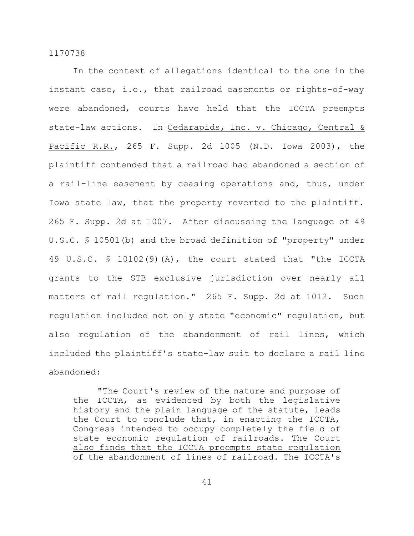In the context of allegations identical to the one in the instant case, i.e., that railroad easements or rights-of-way were abandoned, courts have held that the ICCTA preempts state-law actions. In Cedarapids, Inc. v. Chicago, Central & Pacific R.R., 265 F. Supp. 2d 1005 (N.D. Iowa 2003), the plaintiff contended that a railroad had abandoned a section of a rail-line easement by ceasing operations and, thus, under Iowa state law, that the property reverted to the plaintiff. 265 F. Supp. 2d at 1007. After discussing the language of 49 U.S.C. § 10501(b) and the broad definition of "property" under 49 U.S.C. § 10102(9)(A), the court stated that "the ICCTA grants to the STB exclusive jurisdiction over nearly all matters of rail regulation." 265 F. Supp. 2d at 1012. Such regulation included not only state "economic" regulation, but also regulation of the abandonment of rail lines, which included the plaintiff's state-law suit to declare a rail line abandoned:

"The Court's review of the nature and purpose of the ICCTA, as evidenced by both the legislative history and the plain language of the statute, leads the Court to conclude that, in enacting the ICCTA, Congress intended to occupy completely the field of state economic regulation of railroads. The Court also finds that the ICCTA preempts state regulation of the abandonment of lines of railroad. The ICCTA's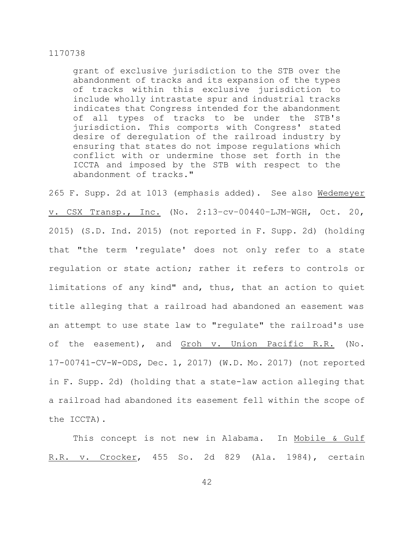grant of exclusive jurisdiction to the STB over the abandonment of tracks and its expansion of the types of tracks within this exclusive jurisdiction to include wholly intrastate spur and industrial tracks indicates that Congress intended for the abandonment of all types of tracks to be under the STB's jurisdiction. This comports with Congress' stated desire of deregulation of the railroad industry by ensuring that states do not impose regulations which conflict with or undermine those set forth in the ICCTA and imposed by the STB with respect to the abandonment of tracks."

265 F. Supp. 2d at 1013 (emphasis added). See also Wedemeyer v. CSX Transp., Inc. (No. 2:13–cv–00440–LJM–WGH, Oct. 20, 2015) (S.D. Ind. 2015) (not reported in F. Supp. 2d) (holding that "the term 'regulate' does not only refer to a state regulation or state action; rather it refers to controls or limitations of any kind" and, thus, that an action to quiet title alleging that a railroad had abandoned an easement was an attempt to use state law to "regulate" the railroad's use of the easement), and Groh v. Union Pacific R.R. (No. 17-00741-CV-W-ODS, Dec. 1, 2017) (W.D. Mo. 2017) (not reported in F. Supp. 2d) (holding that a state-law action alleging that a railroad had abandoned its easement fell within the scope of the ICCTA).

This concept is not new in Alabama. In Mobile & Gulf R.R. v. Crocker, 455 So. 2d 829 (Ala. 1984), certain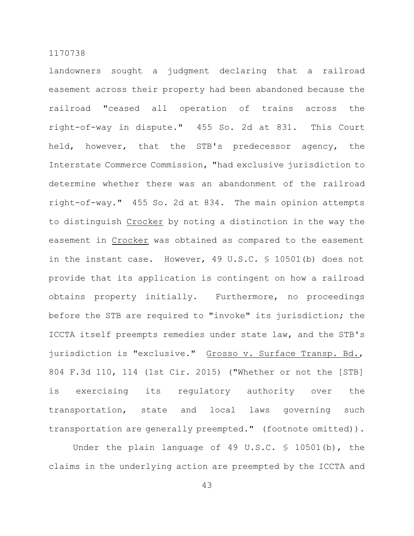landowners sought a judgment declaring that a railroad easement across their property had been abandoned because the railroad "ceased all operation of trains across the right-of-way in dispute." 455 So. 2d at 831. This Court held, however, that the STB's predecessor agency, the Interstate Commerce Commission, "had exclusive jurisdiction to determine whether there was an abandonment of the railroad right-of-way." 455 So. 2d at 834. The main opinion attempts to distinguish Crocker by noting a distinction in the way the easement in Crocker was obtained as compared to the easement in the instant case. However, 49 U.S.C. § 10501(b) does not provide that its application is contingent on how a railroad obtains property initially. Furthermore, no proceedings before the STB are required to "invoke" its jurisdiction; the ICCTA itself preempts remedies under state law, and the STB's jurisdiction is "exclusive." Grosso v. Surface Transp. Bd., 804 F.3d 110, 114 (1st Cir. 2015) ("Whether or not the [STB] is exercising its regulatory authority over the transportation, state and local laws governing such transportation are generally preempted." (footnote omitted)).

Under the plain language of 49 U.S.C. § 10501(b), the claims in the underlying action are preempted by the ICCTA and